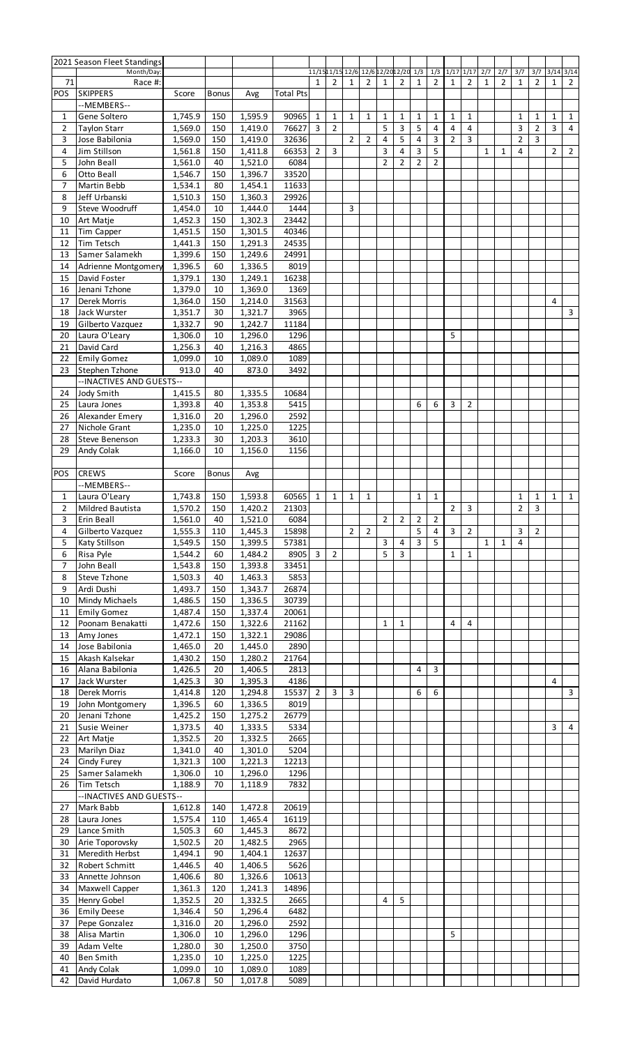|                | 2021 Season Fleet Standings |         |              |         |                  |                         |                |                |                                     |                |                         |                |                |                |                |              |                |                |                |                |                |
|----------------|-----------------------------|---------|--------------|---------|------------------|-------------------------|----------------|----------------|-------------------------------------|----------------|-------------------------|----------------|----------------|----------------|----------------|--------------|----------------|----------------|----------------|----------------|----------------|
|                | Month/Day:                  |         |              |         |                  |                         |                |                | 11/1511/15 12/6 12/6 12/2012/20 1/3 |                |                         |                | 1/3            | $1/17$ $1/17$  |                | 2/7          | 2/7            | 3/7            | 3/7            | $3/14$ $3/14$  |                |
| 71             | Race #:                     |         |              |         |                  | $\mathbf{1}$            | $\overline{2}$ | 1              | 2                                   | 1              | $\overline{2}$          | $\mathbf{1}$   | 2              | $\mathbf{1}$   | $\overline{2}$ | $\mathbf{1}$ | $\overline{2}$ | 1              | 2              | $\mathbf{1}$   | $\overline{2}$ |
| <b>POS</b>     | <b>SKIPPERS</b>             | Score   | <b>Bonus</b> | Avg     | <b>Total Pts</b> |                         |                |                |                                     |                |                         |                |                |                |                |              |                |                |                |                |                |
|                | --MEMBERS--                 |         |              |         |                  |                         |                |                |                                     |                |                         |                |                |                |                |              |                |                |                |                |                |
| 1              | Gene Soltero                | 1,745.9 | 150          | 1,595.9 | 90965            | 1                       | 1              | $\mathbf{1}$   | $\mathbf{1}$                        | 1              | 1                       | $\mathbf{1}$   | 1              | $\mathbf{1}$   | $\mathbf{1}$   |              |                | $\mathbf{1}$   | $\mathbf{1}$   | $\mathbf{1}$   | 1              |
| $\overline{2}$ | <b>Taylon Starr</b>         | 1,569.0 | 150          | 1,419.0 | 76627            | $\overline{3}$          | $\overline{2}$ |                |                                     | 5              | 3                       | 5              | 4              | 4              | 4              |              |                | 3              | $\overline{2}$ | 3              | 4              |
| 3              | Jose Babilonia              | 1,569.0 | 150          | 1,419.0 | 32636            |                         |                | $\overline{2}$ | $\overline{2}$                      | $\overline{4}$ | 5                       | $\overline{4}$ | 3              | $\overline{2}$ | $\overline{3}$ |              |                | $\overline{2}$ | 3              |                |                |
| 4              | Jim Stillson                | 1,561.8 | 150          | 1,411.8 | 66353            | $\overline{2}$          | 3              |                |                                     | 3              | 4                       | 3              | 5              |                |                | $\mathbf{1}$ | 1              | 4              |                | $\overline{2}$ | $\overline{2}$ |
| 5              | John Beall                  | 1,561.0 | 40           | 1,521.0 | 6084             |                         |                |                |                                     | $\overline{2}$ | 2                       | $\overline{2}$ | 2              |                |                |              |                |                |                |                |                |
| 6              | Otto Beall                  | 1,546.7 | 150          | 1,396.7 | 33520            |                         |                |                |                                     |                |                         |                |                |                |                |              |                |                |                |                |                |
| $\overline{7}$ | <b>Martin Bebb</b>          | 1,534.1 | 80           | 1,454.1 | 11633            |                         |                |                |                                     |                |                         |                |                |                |                |              |                |                |                |                |                |
| 8              | Jeff Urbanski               | 1,510.3 | 150          | 1,360.3 | 29926            |                         |                |                |                                     |                |                         |                |                |                |                |              |                |                |                |                |                |
| 9              | Steve Woodruff              | 1,454.0 | 10           | 1,444.0 | 1444             |                         |                | 3              |                                     |                |                         |                |                |                |                |              |                |                |                |                |                |
| 10             | Art Matje                   | 1,452.3 | 150          | 1,302.3 | 23442            |                         |                |                |                                     |                |                         |                |                |                |                |              |                |                |                |                |                |
| 11             | Tim Capper                  | 1,451.5 | 150          | 1,301.5 | 40346            |                         |                |                |                                     |                |                         |                |                |                |                |              |                |                |                |                |                |
| 12             | Tim Tetsch                  | 1,441.3 | 150          | 1,291.3 | 24535            |                         |                |                |                                     |                |                         |                |                |                |                |              |                |                |                |                |                |
| 13             | Samer Salamekh              | 1,399.6 | 150          | 1,249.6 | 24991            |                         |                |                |                                     |                |                         |                |                |                |                |              |                |                |                |                |                |
| 14             | Adrienne Montgomery         | 1,396.5 | 60           | 1,336.5 | 8019             |                         |                |                |                                     |                |                         |                |                |                |                |              |                |                |                |                |                |
| 15             | David Foster                | 1,379.1 | 130          | 1,249.1 | 16238            |                         |                |                |                                     |                |                         |                |                |                |                |              |                |                |                |                |                |
| 16             | Jenani Tzhone               | 1,379.0 | 10           | 1,369.0 | 1369             |                         |                |                |                                     |                |                         |                |                |                |                |              |                |                |                |                |                |
| 17             | Derek Morris                | 1,364.0 | 150          | 1,214.0 | 31563            |                         |                |                |                                     |                |                         |                |                |                |                |              |                |                |                | 4              |                |
| 18             | Jack Wurster                | 1,351.7 | 30           | 1,321.7 | 3965             |                         |                |                |                                     |                |                         |                |                |                |                |              |                |                |                |                | 3              |
| 19             | Gilberto Vazquez            | 1,332.7 | 90           | 1,242.7 | 11184            |                         |                |                |                                     |                |                         |                |                |                |                |              |                |                |                |                |                |
| 20             | Laura O'Leary               | 1,306.0 | 10           | 1,296.0 | 1296             |                         |                |                |                                     |                |                         |                |                | 5              |                |              |                |                |                |                |                |
| 21             | David Card                  | 1,256.3 | 40           | 1,216.3 | 4865             |                         |                |                |                                     |                |                         |                |                |                |                |              |                |                |                |                |                |
| 22             | <b>Emily Gomez</b>          | 1,099.0 | 10           | 1,089.0 | 1089             |                         |                |                |                                     |                |                         |                |                |                |                |              |                |                |                |                |                |
| 23             | <b>Stephen Tzhone</b>       | 913.0   | 40           | 873.0   | 3492             |                         |                |                |                                     |                |                         |                |                |                |                |              |                |                |                |                |                |
|                | --INACTIVES AND GUESTS--    |         |              |         |                  |                         |                |                |                                     |                |                         |                |                |                |                |              |                |                |                |                |                |
| 24             | Jody Smith                  | 1,415.5 | 80           | 1,335.5 | 10684            |                         |                |                |                                     |                |                         |                |                |                |                |              |                |                |                |                |                |
| 25             | Laura Jones                 | 1,393.8 | 40           | 1,353.8 | 5415             |                         |                |                |                                     |                |                         | 6              | 6              | 3              | $\overline{2}$ |              |                |                |                |                |                |
| 26             | Alexander Emery             | 1,316.0 | 20           | 1,296.0 | 2592             |                         |                |                |                                     |                |                         |                |                |                |                |              |                |                |                |                |                |
| 27             | Nichole Grant               | 1,235.0 | 10           | 1,225.0 | 1225             |                         |                |                |                                     |                |                         |                |                |                |                |              |                |                |                |                |                |
| 28             | Steve Benenson              | 1,233.3 | 30           | 1,203.3 | 3610             |                         |                |                |                                     |                |                         |                |                |                |                |              |                |                |                |                |                |
| 29             | Andy Colak                  | 1,166.0 | 10           | 1,156.0 | 1156             |                         |                |                |                                     |                |                         |                |                |                |                |              |                |                |                |                |                |
|                |                             |         |              |         |                  |                         |                |                |                                     |                |                         |                |                |                |                |              |                |                |                |                |                |
| <b>POS</b>     | <b>CREWS</b>                | Score   | <b>Bonus</b> | Avg     |                  |                         |                |                |                                     |                |                         |                |                |                |                |              |                |                |                |                |                |
|                | --MEMBERS--                 |         |              |         |                  |                         |                |                |                                     |                |                         |                |                |                |                |              |                |                |                |                |                |
| 1              | Laura O'Leary               | 1,743.8 | 150          | 1,593.8 | 60565            | 1                       | $\mathbf{1}$   | $\mathbf{1}$   | $\mathbf{1}$                        |                |                         | $\mathbf{1}$   | $\mathbf{1}$   |                |                |              |                | $\mathbf{1}$   | 1              | $\mathbf{1}$   | $\mathbf{1}$   |
| $\overline{2}$ | Mildred Bautista            | 1,570.2 | 150          | 1,420.2 | 21303            |                         |                |                |                                     |                |                         |                |                | $\overline{2}$ | 3              |              |                | $\overline{2}$ | 3              |                |                |
| 3              | Erin Beall                  | 1,561.0 | 40           | 1,521.0 | 6084             |                         |                |                |                                     | $\mathbf 2$    | $\overline{\mathbf{r}}$ | $\overline{2}$ | $\overline{c}$ |                |                |              |                |                |                |                |                |
| 4              | Gilberto Vazquez            | 1,555.3 | 110          | 1,445.3 | 15898            |                         |                | $\overline{2}$ | $\overline{2}$                      |                |                         | 5              | 4              | 3              | $\overline{2}$ |              |                | 3              | $\overline{2}$ |                |                |
|                |                             |         |              |         | 57381            |                         |                |                |                                     | 3              | 4                       | 3              | 5              |                |                |              |                |                |                |                |                |
|                |                             |         |              |         |                  |                         |                |                |                                     |                |                         |                |                |                |                |              |                |                |                |                |                |
| 5              | <b>Katy Stillson</b>        | 1,549.5 | 150          | 1,399.5 |                  |                         |                |                |                                     |                |                         |                |                |                |                | $\mathbf{1}$ | $\mathbf{1}$   | 4              |                |                |                |
| 6              | Risa Pyle                   | 1,544.2 | 60           | 1,484.2 | 8905             | $\overline{\mathbf{3}}$ | $\overline{2}$ |                |                                     | 5              | 3                       |                |                | 1              | 1              |              |                |                |                |                |                |
| 7              | John Beall                  | 1,543.8 | 150          | 1,393.8 | 33451            |                         |                |                |                                     |                |                         |                |                |                |                |              |                |                |                |                |                |
| 8              | Steve Tzhone                | 1,503.3 | 40           | 1,463.3 | 5853             |                         |                |                |                                     |                |                         |                |                |                |                |              |                |                |                |                |                |
| 9              | Ardi Dushi                  | 1,493.7 | 150          | 1,343.7 | 26874            |                         |                |                |                                     |                |                         |                |                |                |                |              |                |                |                |                |                |
| 10             | <b>Mindy Michaels</b>       | 1,486.5 | 150          | 1,336.5 | 30739            |                         |                |                |                                     |                |                         |                |                |                |                |              |                |                |                |                |                |
| 11             | <b>Emily Gomez</b>          | 1,487.4 | 150          | 1,337.4 | 20061            |                         |                |                |                                     |                |                         |                |                |                |                |              |                |                |                |                |                |
| 12             | Poonam Benakatti            | 1,472.6 | 150          | 1,322.6 | 21162            |                         |                |                |                                     | 1              | 1                       |                |                | 4              | 4              |              |                |                |                |                |                |
| 13             | Amy Jones                   | 1,472.1 | 150          | 1,322.1 | 29086            |                         |                |                |                                     |                |                         |                |                |                |                |              |                |                |                |                |                |
| 14             | Jose Babilonia              | 1,465.0 | 20           | 1,445.0 | 2890             |                         |                |                |                                     |                |                         |                |                |                |                |              |                |                |                |                |                |
| 15             | Akash Kalsekar              | 1,430.2 | 150          | 1,280.2 | 21764            |                         |                |                |                                     |                |                         |                |                |                |                |              |                |                |                |                |                |
| 16             | Alana Babilonia             | 1,426.5 | 20           | 1,406.5 | 2813             |                         |                |                |                                     |                |                         | 4              | 3              |                |                |              |                |                |                |                |                |
| 17             | Jack Wurster                | 1,425.3 | 30           | 1,395.3 | 4186             |                         |                |                |                                     |                |                         |                |                |                |                |              |                |                |                | 4              |                |
| 18             | Derek Morris                | 1,414.8 | 120          | 1,294.8 | 15537            | $\overline{2}$          | 3              | 3              |                                     |                |                         | 6              | 6              |                |                |              |                |                |                |                | 3              |
| 19             | John Montgomery             | 1,396.5 | 60           | 1,336.5 | 8019             |                         |                |                |                                     |                |                         |                |                |                |                |              |                |                |                |                |                |
| 20             | Jenani Tzhone               | 1,425.2 | 150          | 1,275.2 | 26779            |                         |                |                |                                     |                |                         |                |                |                |                |              |                |                |                |                |                |
| 21             | Susie Weiner                | 1,373.5 | 40           | 1,333.5 | 5334             |                         |                |                |                                     |                |                         |                |                |                |                |              |                |                |                | 3              | 4              |
| 22             | Art Matje                   | 1,352.5 | 20           | 1,332.5 | 2665             |                         |                |                |                                     |                |                         |                |                |                |                |              |                |                |                |                |                |
| 23             | <b>Marilyn Diaz</b>         | 1,341.0 | 40           | 1,301.0 | 5204             |                         |                |                |                                     |                |                         |                |                |                |                |              |                |                |                |                |                |
| 24             | Cindy Furey                 | 1,321.3 | 100          | 1,221.3 | 12213            |                         |                |                |                                     |                |                         |                |                |                |                |              |                |                |                |                |                |
| 25             | Samer Salamekh              | 1,306.0 | 10           | 1,296.0 | 1296             |                         |                |                |                                     |                |                         |                |                |                |                |              |                |                |                |                |                |
| 26             | Tim Tetsch                  | 1,188.9 | 70           | 1,118.9 | 7832             |                         |                |                |                                     |                |                         |                |                |                |                |              |                |                |                |                |                |
|                | --INACTIVES AND GUESTS--    |         |              |         |                  |                         |                |                |                                     |                |                         |                |                |                |                |              |                |                |                |                |                |
| 27             | Mark Babb                   | 1,612.8 | 140          | 1,472.8 | 20619            |                         |                |                |                                     |                |                         |                |                |                |                |              |                |                |                |                |                |
| 28             | Laura Jones                 | 1,575.4 | 110          | 1,465.4 | 16119            |                         |                |                |                                     |                |                         |                |                |                |                |              |                |                |                |                |                |
| 29             | Lance Smith                 | 1,505.3 | 60           | 1,445.3 | 8672             |                         |                |                |                                     |                |                         |                |                |                |                |              |                |                |                |                |                |
| 30             | Arie Toporovsky             | 1,502.5 | 20           | 1,482.5 | 2965             |                         |                |                |                                     |                |                         |                |                |                |                |              |                |                |                |                |                |
| 31             | Meredith Herbst             | 1,494.1 | 90           | 1,404.1 | 12637            |                         |                |                |                                     |                |                         |                |                |                |                |              |                |                |                |                |                |
| 32             | Robert Schmitt              | 1,446.5 | 40           | 1,406.5 | 5626             |                         |                |                |                                     |                |                         |                |                |                |                |              |                |                |                |                |                |
| 33             | Annette Johnson             | 1,406.6 | 80           | 1,326.6 | 10613            |                         |                |                |                                     |                |                         |                |                |                |                |              |                |                |                |                |                |
| 34             | <b>Maxwell Capper</b>       | 1,361.3 | 120          | 1,241.3 | 14896            |                         |                |                |                                     |                |                         |                |                |                |                |              |                |                |                |                |                |
| 35             | <b>Henry Gobel</b>          | 1,352.5 | 20           | 1,332.5 | 2665             |                         |                |                |                                     | $\overline{4}$ | 5                       |                |                |                |                |              |                |                |                |                |                |
| 36             | <b>Emily Deese</b>          | 1,346.4 | 50           | 1,296.4 | 6482             |                         |                |                |                                     |                |                         |                |                |                |                |              |                |                |                |                |                |
| 37             | Pepe Gonzalez               | 1,316.0 | 20           | 1,296.0 | 2592             |                         |                |                |                                     |                |                         |                |                |                |                |              |                |                |                |                |                |
| 38             | Alisa Martin                | 1,306.0 | 10           | 1,296.0 | 1296             |                         |                |                |                                     |                |                         |                |                | 5              |                |              |                |                |                |                |                |
| 39             | Adam Velte                  | 1,280.0 | 30           | 1,250.0 | 3750             |                         |                |                |                                     |                |                         |                |                |                |                |              |                |                |                |                |                |
| 40             | <b>Ben Smith</b>            | 1,235.0 | 10           | 1,225.0 | 1225             |                         |                |                |                                     |                |                         |                |                |                |                |              |                |                |                |                |                |
| 41             | Andy Colak                  | 1,099.0 | 10           | 1,089.0 | 1089<br>5089     |                         |                |                |                                     |                |                         |                |                |                |                |              |                |                |                |                |                |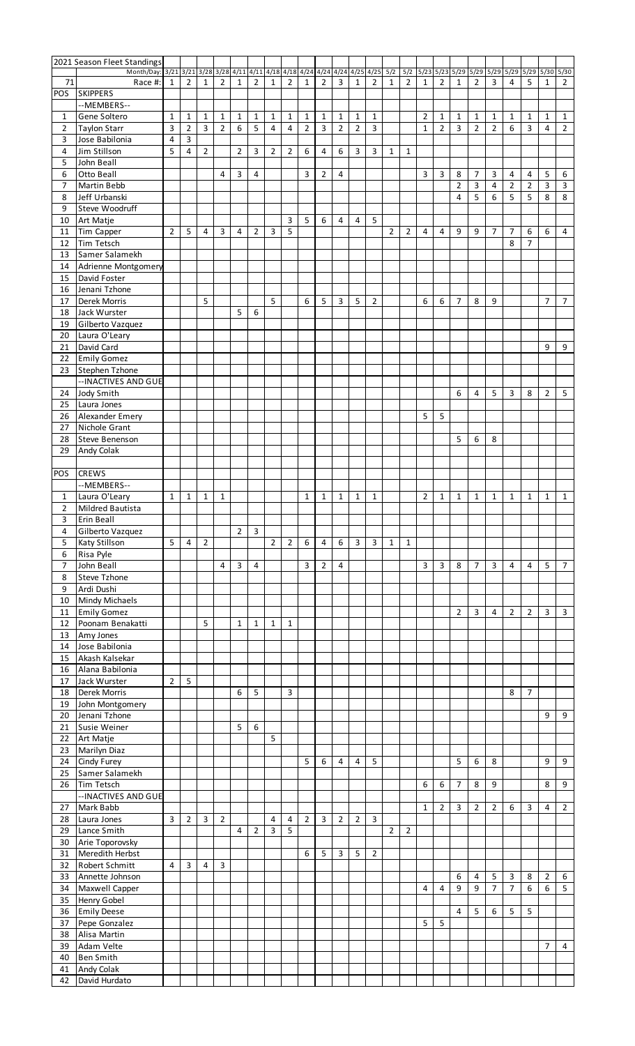|                     | 2021 Season Fleet Standings                                                  |                |                |                |                |                |                |                |                |                |                         |                |                               |                |                     |                       |                      |                |                     |              |                    |                |                     |                |                |
|---------------------|------------------------------------------------------------------------------|----------------|----------------|----------------|----------------|----------------|----------------|----------------|----------------|----------------|-------------------------|----------------|-------------------------------|----------------|---------------------|-----------------------|----------------------|----------------|---------------------|--------------|--------------------|----------------|---------------------|----------------|----------------|
| 71                  | Month/Day: 3/21 3/21 3/28 3/28 4/11 4/11 4/18 4/18 4/24 4/24 4/24<br>Race #: | 1              | 2              | $\mathbf{1}$   | 2              | 1              | $\overline{2}$ | $\mathbf{1}$   | $\overline{2}$ | 1              | $\overline{2}$          | 3              | $4/25$ $4/25$<br>$\mathbf{1}$ | $\overline{2}$ | 5/2<br>$\mathbf{1}$ | 5/2<br>$\overline{2}$ | 5/23<br>$\mathbf{1}$ | 2              | $5/23$ $5/29$<br>1  | 5/29<br>2    | $5/29$ $5/29$<br>3 | 4              | $5/29$ $5/30$<br>5  | 1              | 5/30<br>2      |
| POS                 | <b>SKIPPERS</b>                                                              |                |                |                |                |                |                |                |                |                |                         |                |                               |                |                     |                       |                      |                |                     |              |                    |                |                     |                |                |
|                     | --MEMBERS--                                                                  |                |                |                |                |                |                |                |                |                |                         |                |                               |                |                     |                       |                      |                |                     |              |                    |                |                     |                |                |
| 1                   | Gene Soltero                                                                 | $\mathbf{1}$   | $\mathbf{1}$   | $\mathbf{1}$   | 1              | $\mathbf{1}$   | $\mathbf{1}$   | $\mathbf{1}$   | $\mathbf{1}$   | $\mathbf{1}$   | $\mathbf{1}$            | $\mathbf{1}$   | 1                             | $\mathbf{1}$   |                     |                       | 2                    | $\mathbf{1}$   | 1                   | $\mathbf{1}$ | $\mathbf{1}$       | 1              | $\mathbf{1}$        | 1              | $\mathbf{1}$   |
| $\overline{2}$      | <b>Taylon Starr</b>                                                          | 3              | $\overline{2}$ | 3              | $\overline{2}$ | 6              | 5              | 4              | $\overline{4}$ | $\overline{2}$ | $\overline{\mathbf{3}}$ | $\overline{2}$ | $\overline{2}$                | $\mathsf{3}$   |                     |                       | $\mathbf{1}$         | $\overline{2}$ | $\mathbf{3}$        | 2            | $\overline{2}$     | 6              | $\overline{3}$      | 4              | $\overline{2}$ |
| 3                   | Jose Babilonia                                                               | 4              | 3              |                |                |                |                |                |                |                |                         |                |                               |                |                     |                       |                      |                |                     |              |                    |                |                     |                |                |
| 4                   | Jim Stillson                                                                 | 5              | 4              | $\overline{2}$ |                | 2              | 3              | $\overline{2}$ | $\overline{2}$ | 6              | 4                       | 6              | 3                             | 3              | $\mathbf{1}$        | 1                     |                      |                |                     |              |                    |                |                     |                |                |
| 5                   | John Beall<br><b>Otto Beall</b>                                              |                |                |                | 4              |                | 4              |                |                | 3              | $\overline{2}$          | 4              |                               |                |                     |                       | 3                    | 3              |                     | 7            | 3                  | 4              |                     | 5              |                |
| 6<br>7              | Martin Bebb                                                                  |                |                |                |                | 3              |                |                |                |                |                         |                |                               |                |                     |                       |                      |                | 8<br>$\overline{2}$ | 3            | 4                  | $\overline{2}$ | 4<br>$\overline{2}$ | 3              | 6<br>3         |
| 8                   | Jeff Urbanski                                                                |                |                |                |                |                |                |                |                |                |                         |                |                               |                |                     |                       |                      |                | $\overline{4}$      | 5            | 6                  | 5              | 5                   | 8              | 8              |
| 9                   | Steve Woodruff                                                               |                |                |                |                |                |                |                |                |                |                         |                |                               |                |                     |                       |                      |                |                     |              |                    |                |                     |                |                |
| 10                  | Art Matje                                                                    |                |                |                |                |                |                |                | 3              | 5              | 6                       | 4              | 4                             | 5              |                     |                       |                      |                |                     |              |                    |                |                     |                |                |
| 11                  | Tim Capper                                                                   | $\overline{2}$ | 5              | 4              | 3              | 4              | $\overline{2}$ | 3              | 5              |                |                         |                |                               |                | $\overline{2}$      | $\overline{2}$        | 4                    | 4              | 9                   | 9            | 7                  | 7              | 6                   | 6              | 4              |
| 12                  | Tim Tetsch                                                                   |                |                |                |                |                |                |                |                |                |                         |                |                               |                |                     |                       |                      |                |                     |              |                    | 8              | $\overline{7}$      |                |                |
| 13                  | Samer Salamekh                                                               |                |                |                |                |                |                |                |                |                |                         |                |                               |                |                     |                       |                      |                |                     |              |                    |                |                     |                |                |
| 14<br>15            | Adrienne Montgomery<br>David Foster                                          |                |                |                |                |                |                |                |                |                |                         |                |                               |                |                     |                       |                      |                |                     |              |                    |                |                     |                |                |
| 16                  | Jenani Tzhone                                                                |                |                |                |                |                |                |                |                |                |                         |                |                               |                |                     |                       |                      |                |                     |              |                    |                |                     |                |                |
| 17                  | Derek Morris                                                                 |                |                | 5              |                |                |                | 5              |                | 6              | 5                       | 3              | 5                             | 2              |                     |                       | 6                    | 6              | 7                   | 8            | 9                  |                |                     | 7              | 7              |
| 18                  | Jack Wurster                                                                 |                |                |                |                | 5              | 6              |                |                |                |                         |                |                               |                |                     |                       |                      |                |                     |              |                    |                |                     |                |                |
| 19                  | Gilberto Vazquez                                                             |                |                |                |                |                |                |                |                |                |                         |                |                               |                |                     |                       |                      |                |                     |              |                    |                |                     |                |                |
| 20                  | Laura O'Leary                                                                |                |                |                |                |                |                |                |                |                |                         |                |                               |                |                     |                       |                      |                |                     |              |                    |                |                     |                |                |
| 21                  | David Card                                                                   |                |                |                |                |                |                |                |                |                |                         |                |                               |                |                     |                       |                      |                |                     |              |                    |                |                     | 9              | 9              |
| 22<br>23            | <b>Emily Gomez</b><br>Stephen Tzhone                                         |                |                |                |                |                |                |                |                |                |                         |                |                               |                |                     |                       |                      |                |                     |              |                    |                |                     |                |                |
|                     | -- INACTIVES AND GUE                                                         |                |                |                |                |                |                |                |                |                |                         |                |                               |                |                     |                       |                      |                |                     |              |                    |                |                     |                |                |
| 24                  | Jody Smith                                                                   |                |                |                |                |                |                |                |                |                |                         |                |                               |                |                     |                       |                      |                | 6                   | 4            | 5                  | 3              | 8                   | $\overline{2}$ | 5              |
| 25                  | Laura Jones                                                                  |                |                |                |                |                |                |                |                |                |                         |                |                               |                |                     |                       |                      |                |                     |              |                    |                |                     |                |                |
| 26                  | Alexander Emery                                                              |                |                |                |                |                |                |                |                |                |                         |                |                               |                |                     |                       | 5                    | 5              |                     |              |                    |                |                     |                |                |
| 27                  | Nichole Grant                                                                |                |                |                |                |                |                |                |                |                |                         |                |                               |                |                     |                       |                      |                |                     |              |                    |                |                     |                |                |
| 28                  | <b>Steve Benenson</b>                                                        |                |                |                |                |                |                |                |                |                |                         |                |                               |                |                     |                       |                      |                | 5                   | 6            | 8                  |                |                     |                |                |
| 29                  | Andy Colak                                                                   |                |                |                |                |                |                |                |                |                |                         |                |                               |                |                     |                       |                      |                |                     |              |                    |                |                     |                |                |
| <b>POS</b>          | <b>CREWS</b>                                                                 |                |                |                |                |                |                |                |                |                |                         |                |                               |                |                     |                       |                      |                |                     |              |                    |                |                     |                |                |
|                     | --MEMBERS--                                                                  |                |                |                |                |                |                |                |                |                |                         |                |                               |                |                     |                       |                      |                |                     |              |                    |                |                     |                |                |
| 1                   | Laura O'Leary                                                                | $\mathbf{1}$   | 1              | 1              | $\mathbf 1$    |                |                |                |                | $\mathbf{1}$   | 1                       | $\mathbf{1}$   | 1                             | $\mathbf{1}$   |                     |                       | 2                    | $\mathbf{1}$   | 1                   | $\mathbf{1}$ | 1                  | 1              | 1                   | 1              | $\mathbf{1}$   |
| $\overline{2}$      | <b>Mildred Bautista</b>                                                      |                |                |                |                |                |                |                |                |                |                         |                |                               |                |                     |                       |                      |                |                     |              |                    |                |                     |                |                |
| 3                   | Erin Beall                                                                   |                |                |                |                |                |                |                |                |                |                         |                |                               |                |                     |                       |                      |                |                     |              |                    |                |                     |                |                |
| 4                   | Gilberto Vazquez                                                             |                |                |                |                | $\overline{2}$ | 3              |                |                |                |                         |                |                               |                |                     |                       |                      |                |                     |              |                    |                |                     |                |                |
| 5                   | Katy Stillson                                                                | 5              | 4              | $\overline{2}$ |                |                |                | $\overline{2}$ | $\overline{2}$ | 6              | 4                       | 6              | 3                             | 3              | $\mathbf{1}$        | 1                     |                      |                |                     |              |                    |                |                     |                |                |
| 6<br>$\overline{7}$ | Risa Pyle<br>John Beall                                                      |                |                |                | 4              | 3              | 4              |                |                | 3              | $\overline{2}$          | 4              |                               |                |                     |                       | 3                    | 3              | 8                   | 7            | 3                  | 4              | 4                   | 5              | $\overline{7}$ |
| 8                   | Steve Tzhone                                                                 |                |                |                |                |                |                |                |                |                |                         |                |                               |                |                     |                       |                      |                |                     |              |                    |                |                     |                |                |
| 9                   | Ardi Dushi                                                                   |                |                |                |                |                |                |                |                |                |                         |                |                               |                |                     |                       |                      |                |                     |              |                    |                |                     |                |                |
| 10                  | Mindy Michaels                                                               |                |                |                |                |                |                |                |                |                |                         |                |                               |                |                     |                       |                      |                |                     |              |                    |                |                     |                |                |
| 11                  | <b>Emily Gomez</b>                                                           |                |                |                |                |                |                |                |                |                |                         |                |                               |                |                     |                       |                      |                | $\overline{2}$      | 3            | 4                  | $\overline{2}$ | $\overline{2}$      | 3              | 3              |
| 12                  | Poonam Benakatti                                                             |                |                | 5              |                | $\mathbf{1}$   | $\mathbf{1}$   | 1              | $\mathbf{1}$   |                |                         |                |                               |                |                     |                       |                      |                |                     |              |                    |                |                     |                |                |
| 13                  | Amy Jones                                                                    |                |                |                |                |                |                |                |                |                |                         |                |                               |                |                     |                       |                      |                |                     |              |                    |                |                     |                |                |
| 14                  | Jose Babilonia                                                               |                |                |                |                |                |                |                |                |                |                         |                |                               |                |                     |                       |                      |                |                     |              |                    |                |                     |                |                |
| 15<br>16            | Akash Kalsekar<br>Alana Babilonia                                            |                |                |                |                |                |                |                |                |                |                         |                |                               |                |                     |                       |                      |                |                     |              |                    |                |                     |                |                |
| 17                  | Jack Wurster                                                                 | $\overline{2}$ | 5              |                |                |                |                |                |                |                |                         |                |                               |                |                     |                       |                      |                |                     |              |                    |                |                     |                |                |
| 18                  | <b>Derek Morris</b>                                                          |                |                |                |                | 6              | 5              |                | 3              |                |                         |                |                               |                |                     |                       |                      |                |                     |              |                    | 8              | 7                   |                |                |
| 19                  | John Montgomery                                                              |                |                |                |                |                |                |                |                |                |                         |                |                               |                |                     |                       |                      |                |                     |              |                    |                |                     |                |                |
| 20                  | Jenani Tzhone                                                                |                |                |                |                |                |                |                |                |                |                         |                |                               |                |                     |                       |                      |                |                     |              |                    |                |                     | 9              | 9              |
| 21                  | Susie Weiner                                                                 |                |                |                |                | 5              | 6              |                |                |                |                         |                |                               |                |                     |                       |                      |                |                     |              |                    |                |                     |                |                |
| 22                  | Art Matje                                                                    |                |                |                |                |                |                | 5              |                |                |                         |                |                               |                |                     |                       |                      |                |                     |              |                    |                |                     |                |                |
| 23<br>24            | Marilyn Diaz<br>Cindy Furey                                                  |                |                |                |                |                |                |                |                | 5              | 6                       | 4              | 4                             | 5              |                     |                       |                      |                | 5                   | 6            | 8                  |                |                     | 9              | 9              |
| 25                  | Samer Salamekh                                                               |                |                |                |                |                |                |                |                |                |                         |                |                               |                |                     |                       |                      |                |                     |              |                    |                |                     |                |                |
| 26                  | Tim Tetsch                                                                   |                |                |                |                |                |                |                |                |                |                         |                |                               |                |                     |                       | 6                    | 6              | $\overline{7}$      | 8            | 9                  |                |                     | 8              | 9              |
|                     | -- INACTIVES AND GUE                                                         |                |                |                |                |                |                |                |                |                |                         |                |                               |                |                     |                       |                      |                |                     |              |                    |                |                     |                |                |
| 27                  | Mark Babb                                                                    |                |                |                |                |                |                |                |                |                |                         |                |                               |                |                     |                       | 1                    | 2              | 3                   | 2            | $\overline{2}$     | 6              | 3                   | 4              | $\overline{2}$ |
| 28                  | Laura Jones                                                                  | 3              | $\overline{2}$ | 3              | $\overline{2}$ |                |                | 4              | 4              | $\overline{2}$ | 3                       | $\overline{2}$ | $\overline{2}$                | $\overline{3}$ |                     |                       |                      |                |                     |              |                    |                |                     |                |                |
| 29                  | Lance Smith                                                                  |                |                |                |                | 4              | $\overline{2}$ | 3              | 5              |                |                         |                |                               |                | $\overline{2}$      | $\overline{2}$        |                      |                |                     |              |                    |                |                     |                |                |
| 30                  | Arie Toporovsky                                                              |                |                |                |                |                |                |                |                |                |                         |                |                               |                |                     |                       |                      |                |                     |              |                    |                |                     |                |                |
| 31<br>32            | Meredith Herbst<br>Robert Schmitt                                            | 4              | 3              | 4              | 3              |                |                |                |                | 6              | 5                       | 3              | 5                             | $\overline{2}$ |                     |                       |                      |                |                     |              |                    |                |                     |                |                |
| 33                  | Annette Johnson                                                              |                |                |                |                |                |                |                |                |                |                         |                |                               |                |                     |                       |                      |                | 6                   | 4            | 5                  | 3              | 8                   | 2              | 6              |
| 34                  | Maxwell Capper                                                               |                |                |                |                |                |                |                |                |                |                         |                |                               |                |                     |                       | 4                    | 4              | 9                   | 9            | $\overline{7}$     | $\overline{7}$ | 6                   | 6              | 5              |
| 35                  | Henry Gobel                                                                  |                |                |                |                |                |                |                |                |                |                         |                |                               |                |                     |                       |                      |                |                     |              |                    |                |                     |                |                |
| 36                  | <b>Emily Deese</b>                                                           |                |                |                |                |                |                |                |                |                |                         |                |                               |                |                     |                       |                      |                | 4                   | 5            | 6                  | 5              | 5                   |                |                |
| 37                  | Pepe Gonzalez                                                                |                |                |                |                |                |                |                |                |                |                         |                |                               |                |                     |                       | 5                    | 5              |                     |              |                    |                |                     |                |                |
| 38                  | Alisa Martin                                                                 |                |                |                |                |                |                |                |                |                |                         |                |                               |                |                     |                       |                      |                |                     |              |                    |                |                     |                |                |
| 39<br>40            | Adam Velte<br><b>Ben Smith</b>                                               |                |                |                |                |                |                |                |                |                |                         |                |                               |                |                     |                       |                      |                |                     |              |                    |                |                     | 7              | 4              |
| 41                  | Andy Colak                                                                   |                |                |                |                |                |                |                |                |                |                         |                |                               |                |                     |                       |                      |                |                     |              |                    |                |                     |                |                |
| 42                  | David Hurdato                                                                |                |                |                |                |                |                |                |                |                |                         |                |                               |                |                     |                       |                      |                |                     |              |                    |                |                     |                |                |
|                     |                                                                              |                |                |                |                |                |                |                |                |                |                         |                |                               |                |                     |                       |                      |                |                     |              |                    |                |                     |                |                |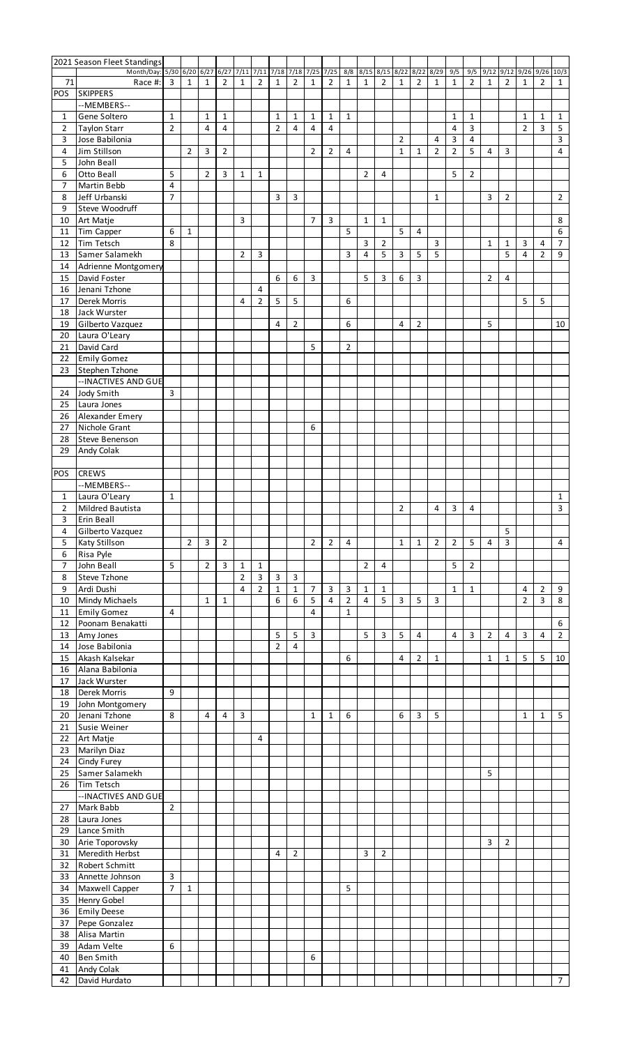|                     | 2021 Season Fleet Standings           |                                |              |                |                |                               |                |                                |                     |                   |                                |                |                |                |                         |                |                |                |                     |                |                |                      |                   |                   |
|---------------------|---------------------------------------|--------------------------------|--------------|----------------|----------------|-------------------------------|----------------|--------------------------------|---------------------|-------------------|--------------------------------|----------------|----------------|----------------|-------------------------|----------------|----------------|----------------|---------------------|----------------|----------------|----------------------|-------------------|-------------------|
|                     | Month/Day: 5/30 6/20                  |                                |              | $6/27$ 6/27    |                | 7/11 7/11 7/18 7/18 7/25 7/25 |                |                                |                     |                   |                                |                |                |                | 8/8 8/15 8/15 8/22 8/22 |                | 8/29           | 9/5            |                     | $9/5$ 9/12     |                | $9/12$ $9/26$ $9/26$ |                   | 10/3              |
| 71                  | Race #:                               | 3                              | 1            | 1              | $\overline{2}$ | 1                             | $\overline{2}$ | $\mathbf{1}$                   | $\overline{2}$      | $\mathbf{1}$      | $\overline{2}$                 | 1              | $\mathbf{1}$   | $\overline{2}$ | $\mathbf{1}$            | $\overline{2}$ | 1              | $\mathbf{1}$   | $\overline{2}$      | $\mathbf{1}$   | 2              | 1                    | $\overline{2}$    | $\mathbf{1}$      |
| POS                 | <b>SKIPPERS</b>                       |                                |              |                |                |                               |                |                                |                     |                   |                                |                |                |                |                         |                |                |                |                     |                |                |                      |                   |                   |
|                     | --MEMBERS--                           |                                |              |                |                |                               |                |                                |                     |                   |                                |                |                |                |                         |                |                |                |                     |                |                |                      |                   |                   |
| 1<br>$\overline{2}$ | Gene Soltero<br><b>Taylon Starr</b>   | $\mathbf{1}$<br>$\overline{2}$ |              | 1<br>4         | 1<br>4         |                               |                | $\mathbf{1}$<br>$\overline{2}$ | 1<br>$\overline{4}$ | $\mathbf{1}$<br>4 | $\mathbf{1}$<br>$\overline{4}$ | $\mathbf{1}$   |                |                |                         |                |                | 1<br>4         | 1<br>$\overline{3}$ |                |                | 1<br>$\overline{2}$  | $\mathbf{1}$<br>3 | $\mathbf{1}$<br>5 |
| 3                   | Jose Babilonia                        |                                |              |                |                |                               |                |                                |                     |                   |                                |                |                |                | 2                       |                | 4              | 3              | $\overline{4}$      |                |                |                      |                   | 3                 |
| 4                   | Jim Stillson                          |                                | 2            | 3              | 2              |                               |                |                                |                     | 2                 | $\overline{2}$                 | 4              |                |                | $\mathbf{1}$            | 1              | $\overline{2}$ | $\overline{2}$ | 5                   | 4              | 3              |                      |                   | $\overline{4}$    |
| 5                   | John Beall                            |                                |              |                |                |                               |                |                                |                     |                   |                                |                |                |                |                         |                |                |                |                     |                |                |                      |                   |                   |
| 6                   | Otto Beall                            | 5                              |              | $\overline{2}$ | 3              | $\mathbf{1}$                  | $\mathbf{1}$   |                                |                     |                   |                                |                | $\overline{2}$ | 4              |                         |                |                | 5              | $\overline{2}$      |                |                |                      |                   |                   |
| $\overline{7}$      | <b>Martin Bebb</b>                    | 4                              |              |                |                |                               |                |                                |                     |                   |                                |                |                |                |                         |                |                |                |                     |                |                |                      |                   |                   |
| 8                   | Jeff Urbanski                         | 7                              |              |                |                |                               |                | 3                              | 3                   |                   |                                |                |                |                |                         |                | 1              |                |                     | 3              | 2              |                      |                   | $\overline{2}$    |
| 9                   | Steve Woodruff                        |                                |              |                |                |                               |                |                                |                     |                   |                                |                |                |                |                         |                |                |                |                     |                |                |                      |                   |                   |
| 10                  | Art Matje                             |                                |              |                |                | 3                             |                |                                |                     | 7                 | 3                              |                | $\mathbf{1}$   | $\mathbf{1}$   |                         |                |                |                |                     |                |                |                      |                   | 8                 |
| 11                  | Tim Capper                            | 6                              | $\mathbf{1}$ |                |                |                               |                |                                |                     |                   |                                | 5              |                |                | 5                       | 4              |                |                |                     |                |                |                      |                   | 6                 |
| 12                  | <b>Tim Tetsch</b>                     | 8                              |              |                |                |                               |                |                                |                     |                   |                                |                | 3              | 2              |                         |                | 3              |                |                     | $\mathbf{1}$   | 1              | 3                    | 4                 | $\overline{7}$    |
| 13                  | Samer Salamekh                        |                                |              |                |                | $\overline{2}$                | 3              |                                |                     |                   |                                | 3              | 4              | 5              | 3                       | 5              | 5              |                |                     |                | 5              | $\overline{4}$       | $\overline{2}$    | 9                 |
| 14                  | Adrienne Montgomery                   |                                |              |                |                |                               |                |                                |                     |                   |                                |                |                |                |                         |                |                |                |                     |                |                |                      |                   |                   |
| 15                  | David Foster                          |                                |              |                |                |                               |                | 6                              | 6                   | 3                 |                                |                | 5              | 3              | 6                       | 3              |                |                |                     | $\overline{2}$ | 4              |                      |                   |                   |
| 16                  | Jenani Tzhone                         |                                |              |                |                |                               | 4              |                                |                     |                   |                                |                |                |                |                         |                |                |                |                     |                |                |                      |                   |                   |
| 17                  | Derek Morris                          |                                |              |                |                | 4                             | $\overline{2}$ | 5                              | 5                   |                   |                                | 6              |                |                |                         |                |                |                |                     |                |                | 5                    | 5                 |                   |
| 18                  | Jack Wurster                          |                                |              |                |                |                               |                |                                |                     |                   |                                |                |                |                |                         |                |                |                |                     |                |                |                      |                   |                   |
| 19                  | Gilberto Vazquez                      |                                |              |                |                |                               |                | 4                              | $\overline{2}$      |                   |                                | 6              |                |                | 4                       | $\overline{2}$ |                |                |                     | 5              |                |                      |                   | 10                |
| 20                  | Laura O'Leary                         |                                |              |                |                |                               |                |                                |                     |                   |                                |                |                |                |                         |                |                |                |                     |                |                |                      |                   |                   |
| 21                  | David Card                            |                                |              |                |                |                               |                |                                |                     | 5                 |                                | $\overline{2}$ |                |                |                         |                |                |                |                     |                |                |                      |                   |                   |
| 22                  | <b>Emily Gomez</b>                    |                                |              |                |                |                               |                |                                |                     |                   |                                |                |                |                |                         |                |                |                |                     |                |                |                      |                   |                   |
| 23                  | Stephen Tzhone                        |                                |              |                |                |                               |                |                                |                     |                   |                                |                |                |                |                         |                |                |                |                     |                |                |                      |                   |                   |
|                     | -- INACTIVES AND GUE                  |                                |              |                |                |                               |                |                                |                     |                   |                                |                |                |                |                         |                |                |                |                     |                |                |                      |                   |                   |
| 24                  | Jody Smith                            | 3                              |              |                |                |                               |                |                                |                     |                   |                                |                |                |                |                         |                |                |                |                     |                |                |                      |                   |                   |
| 25                  | Laura Jones                           |                                |              |                |                |                               |                |                                |                     |                   |                                |                |                |                |                         |                |                |                |                     |                |                |                      |                   |                   |
| 26                  | Alexander Emery                       |                                |              |                |                |                               |                |                                |                     |                   |                                |                |                |                |                         |                |                |                |                     |                |                |                      |                   |                   |
| 27                  | Nichole Grant                         |                                |              |                |                |                               |                |                                |                     | 6                 |                                |                |                |                |                         |                |                |                |                     |                |                |                      |                   |                   |
| 28                  | <b>Steve Benenson</b>                 |                                |              |                |                |                               |                |                                |                     |                   |                                |                |                |                |                         |                |                |                |                     |                |                |                      |                   |                   |
| 29                  | Andy Colak                            |                                |              |                |                |                               |                |                                |                     |                   |                                |                |                |                |                         |                |                |                |                     |                |                |                      |                   |                   |
|                     | <b>CREWS</b>                          |                                |              |                |                |                               |                |                                |                     |                   |                                |                |                |                |                         |                |                |                |                     |                |                |                      |                   |                   |
| <b>POS</b>          |                                       |                                |              |                |                |                               |                |                                |                     |                   |                                |                |                |                |                         |                |                |                |                     |                |                |                      |                   |                   |
|                     | --MEMBERS--                           |                                |              |                |                |                               |                |                                |                     |                   |                                |                |                |                |                         |                |                |                |                     |                |                |                      |                   |                   |
| 1                   | Laura O'Leary                         | $\mathbf{1}$                   |              |                |                |                               |                |                                |                     |                   |                                |                |                |                | $\overline{2}$          |                | 4              | 3              | 4                   |                |                |                      |                   | 1<br>3            |
| 2<br>3              | <b>Mildred Bautista</b><br>Erin Beall |                                |              |                |                |                               |                |                                |                     |                   |                                |                |                |                |                         |                |                |                |                     |                |                |                      |                   |                   |
| 4                   | Gilberto Vazquez                      |                                |              |                |                |                               |                |                                |                     |                   |                                |                |                |                |                         |                |                |                |                     |                | 5              |                      |                   |                   |
| 5                   | Katy Stillson                         |                                | 2            | 3              | $\overline{2}$ |                               |                |                                |                     | 2                 | $\overline{2}$                 | 4              |                |                | $\mathbf{1}$            | $\mathbf{1}$   | $\overline{2}$ | $\overline{2}$ | 5                   | 4              | 3              |                      |                   | 4                 |
| 6                   | Risa Pyle                             |                                |              |                |                |                               |                |                                |                     |                   |                                |                |                |                |                         |                |                |                |                     |                |                |                      |                   |                   |
| 7                   | John Beall                            | 5                              |              | $\overline{2}$ | 3              | $\mathbf{1}$                  | $\mathbf{1}$   |                                |                     |                   |                                |                | $\overline{2}$ | 4              |                         |                |                | 5              | $\overline{2}$      |                |                |                      |                   |                   |
| 8                   | <b>Steve Tzhone</b>                   |                                |              |                |                | $\overline{2}$                | $\overline{3}$ | $\mathsf{3}$                   | $\mathbf{3}$        |                   |                                |                |                |                |                         |                |                |                |                     |                |                |                      |                   |                   |
| 9                   | Ardi Dushi                            |                                |              |                |                | 4                             | $\overline{2}$ | $\mathbf{1}$                   | $\mathbf{1}$        | $\overline{7}$    | 3                              | 3              | $\mathbf{1}$   | $\mathbf{1}$   |                         |                |                | $\mathbf{1}$   | $\mathbf{1}$        |                |                | $\overline{4}$       | $\overline{2}$    | 9                 |
| 10                  | <b>Mindy Michaels</b>                 |                                |              | $\mathbf{1}$   | $\mathbf{1}$   |                               |                | 6                              | 6                   | 5                 | $\overline{4}$                 | $\overline{2}$ | 4              | 5              | 3                       | 5              | 3              |                |                     |                |                | $\overline{2}$       | 3                 | 8                 |
| 11                  | <b>Emily Gomez</b>                    | 4                              |              |                |                |                               |                |                                |                     | $\overline{4}$    |                                | $\mathbf{1}$   |                |                |                         |                |                |                |                     |                |                |                      |                   |                   |
| 12                  | Poonam Benakatti                      |                                |              |                |                |                               |                |                                |                     |                   |                                |                |                |                |                         |                |                |                |                     |                |                |                      |                   | 6                 |
| 13                  | Amy Jones                             |                                |              |                |                |                               |                | 5                              | 5                   | 3                 |                                |                | 5              | 3              | 5                       | 4              |                | 4              | $\overline{3}$      | $\overline{2}$ | 4              | 3                    | 4                 | $\overline{2}$    |
| 14                  | Jose Babilonia                        |                                |              |                |                |                               |                | $\overline{2}$                 | $\overline{4}$      |                   |                                |                |                |                |                         |                |                |                |                     |                |                |                      |                   |                   |
| 15                  | Akash Kalsekar                        |                                |              |                |                |                               |                |                                |                     |                   |                                | 6              |                |                | 4                       | 2              | $\mathbf{1}$   |                |                     | $\mathbf{1}$   | 1              | 5                    | 5                 | 10                |
| 16                  | Alana Babilonia                       |                                |              |                |                |                               |                |                                |                     |                   |                                |                |                |                |                         |                |                |                |                     |                |                |                      |                   |                   |
| 17                  | Jack Wurster                          |                                |              |                |                |                               |                |                                |                     |                   |                                |                |                |                |                         |                |                |                |                     |                |                |                      |                   |                   |
| 18                  | Derek Morris                          | 9                              |              |                |                |                               |                |                                |                     |                   |                                |                |                |                |                         |                |                |                |                     |                |                |                      |                   |                   |
| 19                  | John Montgomery                       |                                |              |                |                |                               |                |                                |                     |                   |                                |                |                |                |                         |                |                |                |                     |                |                |                      |                   |                   |
| 20                  | Jenani Tzhone                         | 8                              |              | 4              | 4              | 3                             |                |                                |                     | 1                 | $\mathbf{1}$                   | 6              |                |                | 6                       | 3              | 5              |                |                     |                |                | $\mathbf{1}$         | 1                 | 5                 |
| 21                  | Susie Weiner                          |                                |              |                |                |                               |                |                                |                     |                   |                                |                |                |                |                         |                |                |                |                     |                |                |                      |                   |                   |
| 22                  | Art Matje                             |                                |              |                |                |                               | 4              |                                |                     |                   |                                |                |                |                |                         |                |                |                |                     |                |                |                      |                   |                   |
| 23                  | Marilyn Diaz                          |                                |              |                |                |                               |                |                                |                     |                   |                                |                |                |                |                         |                |                |                |                     |                |                |                      |                   |                   |
| 24                  | Cindy Furey                           |                                |              |                |                |                               |                |                                |                     |                   |                                |                |                |                |                         |                |                |                |                     |                |                |                      |                   |                   |
| 25                  | Samer Salamekh                        |                                |              |                |                |                               |                |                                |                     |                   |                                |                |                |                |                         |                |                |                |                     | 5              |                |                      |                   |                   |
| 26                  | Tim Tetsch                            |                                |              |                |                |                               |                |                                |                     |                   |                                |                |                |                |                         |                |                |                |                     |                |                |                      |                   |                   |
|                     | -- INACTIVES AND GUE                  |                                |              |                |                |                               |                |                                |                     |                   |                                |                |                |                |                         |                |                |                |                     |                |                |                      |                   |                   |
| 27                  | Mark Babb                             | $\overline{2}$                 |              |                |                |                               |                |                                |                     |                   |                                |                |                |                |                         |                |                |                |                     |                |                |                      |                   |                   |
| 28                  | Laura Jones                           |                                |              |                |                |                               |                |                                |                     |                   |                                |                |                |                |                         |                |                |                |                     |                |                |                      |                   |                   |
| 29                  | Lance Smith                           |                                |              |                |                |                               |                |                                |                     |                   |                                |                |                |                |                         |                |                |                |                     |                |                |                      |                   |                   |
| 30                  | Arie Toporovsky                       |                                |              |                |                |                               |                |                                |                     |                   |                                |                |                |                |                         |                |                |                |                     | 3              | $\overline{2}$ |                      |                   |                   |
| 31                  | Meredith Herbst                       |                                |              |                |                |                               |                | 4                              | 2                   |                   |                                |                | 3              | 2              |                         |                |                |                |                     |                |                |                      |                   |                   |
| 32                  | Robert Schmitt                        |                                |              |                |                |                               |                |                                |                     |                   |                                |                |                |                |                         |                |                |                |                     |                |                |                      |                   |                   |
| 33                  | Annette Johnson                       | 3<br>$\overline{7}$            |              |                |                |                               |                |                                |                     |                   |                                |                |                |                |                         |                |                |                |                     |                |                |                      |                   |                   |
| 34                  | Maxwell Capper                        |                                | $\mathbf{1}$ |                |                |                               |                |                                |                     |                   |                                | 5              |                |                |                         |                |                |                |                     |                |                |                      |                   |                   |
| 35                  | Henry Gobel                           |                                |              |                |                |                               |                |                                |                     |                   |                                |                |                |                |                         |                |                |                |                     |                |                |                      |                   |                   |
| 36                  | <b>Emily Deese</b><br>Pepe Gonzalez   |                                |              |                |                |                               |                |                                |                     |                   |                                |                |                |                |                         |                |                |                |                     |                |                |                      |                   |                   |
| 37<br>38            | Alisa Martin                          |                                |              |                |                |                               |                |                                |                     |                   |                                |                |                |                |                         |                |                |                |                     |                |                |                      |                   |                   |
| 39                  | Adam Velte                            | 6                              |              |                |                |                               |                |                                |                     |                   |                                |                |                |                |                         |                |                |                |                     |                |                |                      |                   |                   |
| 40                  | <b>Ben Smith</b>                      |                                |              |                |                |                               |                |                                |                     | 6                 |                                |                |                |                |                         |                |                |                |                     |                |                |                      |                   |                   |
| 41                  | Andy Colak                            |                                |              |                |                |                               |                |                                |                     |                   |                                |                |                |                |                         |                |                |                |                     |                |                |                      |                   |                   |
| 42                  | David Hurdato                         |                                |              |                |                |                               |                |                                |                     |                   |                                |                |                |                |                         |                |                |                |                     |                |                |                      |                   | 7 <sup>7</sup>    |
|                     |                                       |                                |              |                |                |                               |                |                                |                     |                   |                                |                |                |                |                         |                |                |                |                     |                |                |                      |                   |                   |